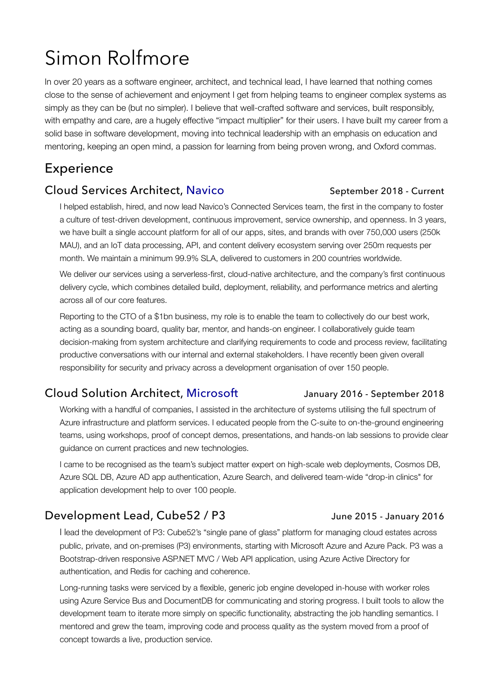# Simon Rolfmore

In over 20 years as a software engineer, architect, and technical lead, I have learned that nothing comes close to the sense of achievement and enjoyment I get from helping teams to engineer complex systems as simply as they can be (but no simpler). I believe that well-crafted software and services, built responsibly, with empathy and care, are a hugely effective "impact multiplier" for their users. I have built my career from a solid base in software development, moving into technical leadership with an emphasis on education and mentoring, keeping an open mind, a passion for learning from being proven wrong, and Oxford commas.

# Experience

### Cloud Services Architect, [Navico](http://www.navico.com)<br>
September 2018 - Current

I helped establish, hired, and now lead Navico's Connected Services team, the first in the company to foster a culture of test-driven development, continuous improvement, service ownership, and openness. In 3 years, we have built a single account platform for all of our apps, sites, and brands with over 750,000 users (250k MAU), and an IoT data processing, API, and content delivery ecosystem serving over 250m requests per month. We maintain a minimum 99.9% SLA, delivered to customers in 200 countries worldwide.

We deliver our services using a serverless-first, cloud-native architecture, and the company's first continuous delivery cycle, which combines detailed build, deployment, reliability, and performance metrics and alerting across all of our core features.

Reporting to the CTO of a \$1bn business, my role is to enable the team to collectively do our best work, acting as a sounding board, quality bar, mentor, and hands-on engineer. I collaboratively guide team decision-making from system architecture and clarifying requirements to code and process review, facilitating productive conversations with our internal and external stakeholders. I have recently been given overall responsibility for security and privacy across a development organisation of over 150 people.

### Cloud Solution Architect, [Microsoft](http://www.microsoft.com) January 2016 - September 2018

Working with a handful of companies, I assisted in the architecture of systems utilising the full spectrum of Azure infrastructure and platform services. I educated people from the C-suite to on-the-ground engineering teams, using workshops, proof of concept demos, presentations, and hands-on lab sessions to provide clear guidance on current practices and new technologies.

I came to be recognised as the team's subject matter expert on high-scale web deployments, Cosmos DB, Azure SQL DB, Azure AD app authentication, Azure Search, and delivered team-wide "drop-in clinics" for application development help to over 100 people.

## Development Lead, Cube52 / P3 June 2015 - January 2016

I lead the development of P3: Cube52's "single pane of glass" platform for managing cloud estates across public, private, and on-premises (P3) environments, starting with Microsoft Azure and Azure Pack. P3 was a Bootstrap-driven responsive ASP.NET MVC / Web API application, using Azure Active Directory for authentication, and Redis for caching and coherence.

Long-running tasks were serviced by a flexible, generic job engine developed in-house with worker roles using Azure Service Bus and DocumentDB for communicating and storing progress. I built tools to allow the development team to iterate more simply on specific functionality, abstracting the job handling semantics. I mentored and grew the team, improving code and process quality as the system moved from a proof of concept towards a live, production service.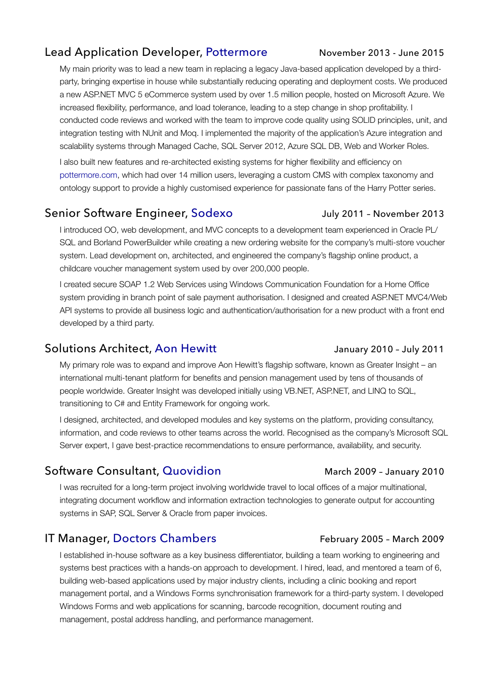### Lead Application Developer, [Pottermore](http://www.pottermore.com) November 2013 - June 2015

My main priority was to lead a new team in replacing a legacy Java-based application developed by a thirdparty, bringing expertise in house while substantially reducing operating and deployment costs. We produced a new ASP.NET MVC 5 eCommerce system used by over 1.5 million people, hosted on Microsoft Azure. We increased flexibility, performance, and load tolerance, leading to a step change in shop profitability. I conducted code reviews and worked with the team to improve code quality using SOLID principles, unit, and integration testing with NUnit and Moq. I implemented the majority of the application's Azure integration and scalability systems through Managed Cache, SQL Server 2012, Azure SQL DB, Web and Worker Roles.

I also built new features and re-architected existing systems for higher flexibility and efficiency on [pottermore.com](http://www.pottermore.com), which had over 14 million users, leveraging a custom CMS with complex taxonomy and ontology support to provide a highly customised experience for passionate fans of the Harry Potter series.

### Senior Software Engineer, [Sodexo](https://www.sodexoengage.com/) July 2011 - November 2013

I introduced OO, web development, and MVC concepts to a development team experienced in Oracle PL/ SQL and Borland PowerBuilder while creating a new [ordering website](https://www.sayshoppingpayments.co.uk) for the company's [multi-store voucher](http://www.sayshopping.co.uk) system. Lead development on, architected, and engineered the company's flagship [online product](https://uk.childcare-vouchers.sodexo.com), a childcare voucher management system used by over 200,000 people.

I created secure SOAP 1.2 Web Services using Windows Communication Foundation for a Home Office system providing in branch point of sale payment authorisation. I designed and created ASP.NET MVC4/Web API systems to provide all business logic and authentication/authorisation for a new product with a front end developed by a third party.

### Solutions Architect, [Aon Hewitt](http://www.aonhewitt.com) January 2010 - July 2011

My primary role was to expand and improve Aon Hewitt's flagship software, known as [Greater Insight](https://greaterinsight.aon.com) – an international multi-tenant platform for benefits and pension management used by tens of thousands of people worldwide. Greater Insight was developed initially using VB.NET, ASP.NET, and LINQ to SQL, transitioning to C# and Entity Framework for ongoing work.

I designed, architected, and developed modules and key systems on the platform, providing consultancy, information, and code reviews to other teams across the world. Recognised as the company's Microsoft SQL Server expert, I gave best-practice recommendations to ensure performance, availability, and security.

### Software Consultant, [Quovidion](http://www.quovidion.com) March 2009 - January 2010

I was recruited for a long-term project involving worldwide travel to local offices of a major multinational, integrating document workflow and information extraction technologies to generate output for accounting systems in SAP, SQL Server & Oracle from paper invoices.

### IT Manager, [Doctors Chambers](http://www.doctorschambers.co.uk) February 2005 - March 2009

I established in-house software as a key business differentiator, building a team working to engineering and systems best practices with a hands-on approach to development. I hired, lead, and mentored a team of 6, building web-based applications used by major industry clients, including a clinic booking and report management portal, and a Windows Forms synchronisation framework for a third-party system. I developed Windows Forms and web applications for scanning, barcode recognition, document routing and management, postal address handling, and performance management.